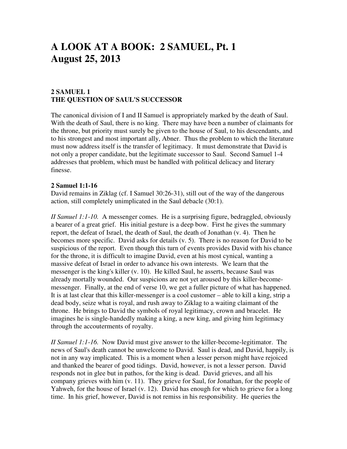# **A LOOK AT A BOOK: 2 SAMUEL, Pt. 1 August 25, 2013**

# **2 SAMUEL 1 THE QUESTION OF SAUL'S SUCCESSOR**

The canonical division of I and II Samuel is appropriately marked by the death of Saul. With the death of Saul, there is no king. There may have been a number of claimants for the throne, but priority must surely be given to the house of Saul, to his descendants, and to his strongest and most important ally, Abner. Thus the problem to which the literature must now address itself is the transfer of legitimacy. It must demonstrate that David is not only a proper candidate, but the legitimate successor to Saul. Second Samuel 1-4 addresses that problem, which must be handled with political delicacy and literary finesse.

#### **2 Samuel 1:1-16**

David remains in Ziklag (cf. I Samuel 30:26-31), still out of the way of the dangerous action, still completely unimplicated in the Saul debacle (30:1).

*II Samuel 1:1-10.* A messenger comes. He is a surprising figure, bedraggled, obviously a bearer of a great grief. His initial gesture is a deep bow. First he gives the summary report, the defeat of Israel, the death of Saul, the death of Jonathan (v. 4). Then he becomes more specific. David asks for details (v. 5). There is no reason for David to be suspicious of the report. Even though this turn of events provides David with his chance for the throne, it is difficult to imagine David, even at his most cynical, wanting a massive defeat of Israel in order to advance his own interests. We learn that the messenger is the king's killer (v. 10). He killed Saul, he asserts, because Saul was already mortally wounded. Our suspicions are not yet aroused by this killer-becomemessenger. Finally, at the end of verse 10, we get a fuller picture of what has happened. It is at last clear that this killer-messenger is a cool customer – able to kill a king, strip a dead body, seize what is royal, and rush away to Ziklag to a waiting claimant of the throne. He brings to David the symbols of royal legitimacy, crown and bracelet. He imagines he is single-handedly making a king, a new king, and giving him legitimacy through the accouterments of royalty.

*II Samuel 1:1-16.* Now David must give answer to the killer-become-legitimator. The news of Saul's death cannot be unwelcome to David. Saul is dead, and David, happily, is not in any way implicated. This is a moment when a lesser person might have rejoiced and thanked the bearer of good tidings. David, however, is not a lesser person. David responds not in glee but in pathos, for the king is dead. David grieves, and all his company grieves with him (v. 11). They grieve for Saul, for Jonathan, for the people of Yahweh, for the house of Israel (v. 12). David has enough for which to grieve for a long time. In his grief, however, David is not remiss in his responsibility. He queries the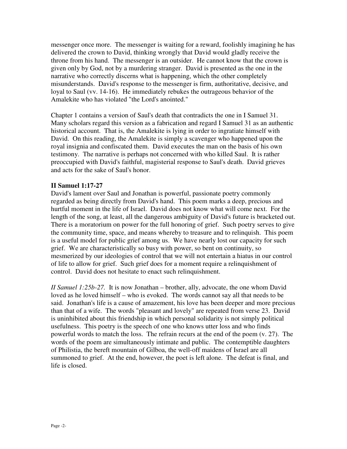messenger once more. The messenger is waiting for a reward, foolishly imagining he has delivered the crown to David, thinking wrongly that David would gladly receive the throne from his hand. The messenger is an outsider. He cannot know that the crown is given only by God, not by a murdering stranger. David is presented as the one in the narrative who correctly discerns what is happening, which the other completely misunderstands. David's response to the messenger is firm, authoritative, decisive, and loyal to Saul (vv. 14-16). He immediately rebukes the outrageous behavior of the Amalekite who has violated "the Lord's anointed."

Chapter 1 contains a version of Saul's death that contradicts the one in I Samuel 31. Many scholars regard this version as a fabrication and regard I Samuel 31 as an authentic historical account. That is, the Amalekite is lying in order to ingratiate himself with David. On this reading, the Amalekite is simply a scavenger who happened upon the royal insignia and confiscated them. David executes the man on the basis of his own testimony. The narrative is perhaps not concerned with who killed Saul. It is rather preoccupied with David's faithful, magisterial response to Saul's death. David grieves and acts for the sake of Saul's honor.

## **II Samuel 1:17-27**

David's lament over Saul and Jonathan is powerful, passionate poetry commonly regarded as being directly from David's hand. This poem marks a deep, precious and hurtful moment in the life of Israel. David does not know what will come next. For the length of the song, at least, all the dangerous ambiguity of David's future is bracketed out. There is a moratorium on power for the full honoring of grief. Such poetry serves to give the community time, space, and means whereby to treasure and to relinquish. This poem is a useful model for public grief among us. We have nearly lost our capacity for such grief. We are characteristically so busy with power, so bent on continuity, so mesmerized by our ideologies of control that we will not entertain a hiatus in our control of life to allow for grief. Such grief does for a moment require a relinquishment of control. David does not hesitate to enact such relinquishment.

*II Samuel 1:25b-27.* It is now Jonathan – brother, ally, advocate, the one whom David loved as he loved himself – who is evoked. The words cannot say all that needs to be said. Jonathan's life is a cause of amazement, his love has been deeper and more precious than that of a wife. The words "pleasant and lovely" are repeated from verse 23. David is uninhibited about this friendship in which personal solidarity is not simply political usefulness. This poetry is the speech of one who knows utter loss and who finds powerful words to match the loss. The refrain recurs at the end of the poem (v. 27). The words of the poem are simultaneously intimate and public. The contemptible daughters of Philistia, the bereft mountain of Gilboa, the well-off maidens of Israel are all summoned to grief. At the end, however, the poet is left alone. The defeat is final, and life is closed.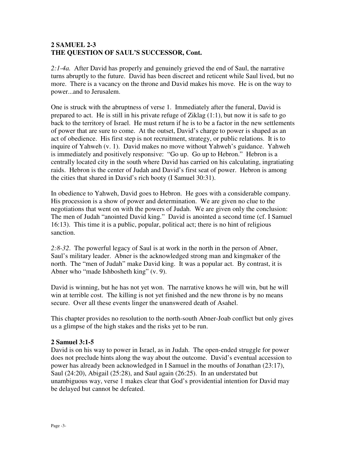## **2 SAMUEL 2-3 THE QUESTION OF SAUL'S SUCCESSOR, Cont.**

*2:1-4a.* After David has properly and genuinely grieved the end of Saul, the narrative turns abruptly to the future. David has been discreet and reticent while Saul lived, but no more. There is a vacancy on the throne and David makes his move. He is on the way to power...and to Jerusalem.

One is struck with the abruptness of verse 1. Immediately after the funeral, David is prepared to act. He is still in his private refuge of Ziklag (1:1), but now it is safe to go back to the territory of Israel. He must return if he is to be a factor in the new settlements of power that are sure to come. At the outset, David's charge to power is shaped as an act of obedience. His first step is not recruitment, strategy, or public relations. It is to inquire of Yahweh (v. 1). David makes no move without Yahweh's guidance. Yahweh is immediately and positively responsive: "Go up. Go up to Hebron." Hebron is a centrally located city in the south where David has carried on his calculating, ingratiating raids. Hebron is the center of Judah and David's first seat of power. Hebron is among the cities that shared in David's rich booty (I Samuel 30:31).

In obedience to Yahweh, David goes to Hebron. He goes with a considerable company. His procession is a show of power and determination. We are given no clue to the negotiations that went on with the powers of Judah. We are given only the conclusion: The men of Judah "anointed David king." David is anointed a second time (cf. I Samuel 16:13). This time it is a public, popular, political act; there is no hint of religious sanction.

*2:8-32*. The powerful legacy of Saul is at work in the north in the person of Abner, Saul's military leader. Abner is the acknowledged strong man and kingmaker of the north. The "men of Judah" make David king. It was a popular act. By contrast, it is Abner who "made Ishbosheth king" (v. 9).

David is winning, but he has not yet won. The narrative knows he will win, but he will win at terrible cost. The killing is not yet finished and the new throne is by no means secure. Over all these events linger the unanswered death of Asahel.

This chapter provides no resolution to the north-south Abner-Joab conflict but only gives us a glimpse of the high stakes and the risks yet to be run.

#### **2 Samuel 3:1-5**

David is on his way to power in Israel, as in Judah. The open-ended struggle for power does not preclude hints along the way about the outcome. David's eventual accession to power has already been acknowledged in I Samuel in the mouths of Jonathan (23:17), Saul (24:20), Abigail (25:28), and Saul again (26:25). In an understated but unambiguous way, verse 1 makes clear that God's providential intention for David may be delayed but cannot be defeated.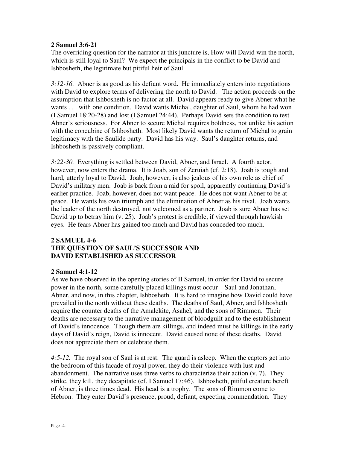#### **2 Samuel 3:6-21**

The overriding question for the narrator at this juncture is, How will David win the north, which is still loyal to Saul? We expect the principals in the conflict to be David and Ishbosheth, the legitimate but pitiful heir of Saul.

*3:12-16.* Abner is as good as his defiant word. He immediately enters into negotiations with David to explore terms of delivering the north to David. The action proceeds on the assumption that Ishbosheth is no factor at all. David appears ready to give Abner what he wants . . . with one condition. David wants Michal, daughter of Saul, whom he had won (I Samuel 18:20-28) and lost (I Samuel 24:44). Perhaps David sets the condition to test Abner's seriousness. For Abner to secure Michal requires boldness, not unlike his action with the concubine of Ishbosheth. Most likely David wants the return of Michal to grain legitimacy with the Saulide party. David has his way. Saul's daughter returns, and Ishbosheth is passively compliant.

*3:22-30.* Everything is settled between David, Abner, and Israel. A fourth actor, however, now enters the drama. It is Joab, son of Zeruiah (cf. 2:18). Joab is tough and hard, utterly loyal to David. Joab, however, is also jealous of his own role as chief of David's military men. Joab is back from a raid for spoil, apparently continuing David's earlier practice. Joab, however, does not want peace. He does not want Abner to be at peace. He wants his own triumph and the elimination of Abner as his rival. Joab wants the leader of the north destroyed, not welcomed as a partner. Joab is sure Abner has set David up to betray him (v. 25). Joab's protest is credible, if viewed through hawkish eyes. He fears Abner has gained too much and David has conceded too much.

## **2 SAMUEL 4-6 THE QUESTION OF SAUL'S SUCCESSOR AND DAVID ESTABLISHED AS SUCCESSOR**

#### **2 Samuel 4:1-12**

As we have observed in the opening stories of II Samuel, in order for David to secure power in the north, some carefully placed killings must occur – Saul and Jonathan, Abner, and now, in this chapter, Ishbosheth. It is hard to imagine how David could have prevailed in the north without these deaths. The deaths of Saul, Abner, and Ishbosheth require the counter deaths of the Amalekite, Asahel, and the sons of Rimmon. Their deaths are necessary to the narrative management of bloodguilt and to the establishment of David's innocence. Though there are killings, and indeed must be killings in the early days of David's reign, David is innocent. David caused none of these deaths. David does not appreciate them or celebrate them.

*4:5-12.* The royal son of Saul is at rest. The guard is asleep. When the captors get into the bedroom of this facade of royal power, they do their violence with lust and abandonment. The narrative uses three verbs to characterize their action (v. 7). They strike, they kill, they decapitate (cf. I Samuel 17:46). Ishbosheth, pitiful creature bereft of Abner, is three times dead. His head is a trophy. The sons of Rimmon come to Hebron. They enter David's presence, proud, defiant, expecting commendation. They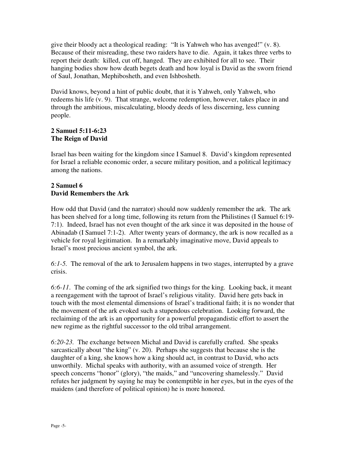give their bloody act a theological reading: "It is Yahweh who has avenged!" (v. 8). Because of their misreading, these two raiders have to die. Again, it takes three verbs to report their death: killed, cut off, hanged. They are exhibited for all to see. Their hanging bodies show how death begets death and how loyal is David as the sworn friend of Saul, Jonathan, Mephibosheth, and even Ishbosheth.

David knows, beyond a hint of public doubt, that it is Yahweh, only Yahweh, who redeems his life (v. 9). That strange, welcome redemption, however, takes place in and through the ambitious, miscalculating, bloody deeds of less discerning, less cunning people.

# **2 Samuel 5:11-6:23 The Reign of David**

Israel has been waiting for the kingdom since I Samuel 8. David's kingdom represented for Israel a reliable economic order, a secure military position, and a political legitimacy among the nations.

# **2 Samuel 6 David Remembers the Ark**

How odd that David (and the narrator) should now suddenly remember the ark. The ark has been shelved for a long time, following its return from the Philistines (I Samuel 6:19- 7:1). Indeed, Israel has not even thought of the ark since it was deposited in the house of Abinadab (I Samuel 7:1-2). After twenty years of dormancy, the ark is now recalled as a vehicle for royal legitimation. In a remarkably imaginative move, David appeals to Israel's most precious ancient symbol, the ark.

*6:1-5.* The removal of the ark to Jerusalem happens in two stages, interrupted by a grave crisis.

*6:6-11*. The coming of the ark signified two things for the king. Looking back, it meant a reengagement with the taproot of Israel's religious vitality. David here gets back in touch with the most elemental dimensions of Israel's traditional faith; it is no wonder that the movement of the ark evoked such a stupendous celebration. Looking forward, the reclaiming of the ark is an opportunity for a powerful propagandistic effort to assert the new regime as the rightful successor to the old tribal arrangement.

*6:20-23.* The exchange between Michal and David is carefully crafted. She speaks sarcastically about "the king" (v. 20). Perhaps she suggests that because she is the daughter of a king, she knows how a king should act, in contrast to David, who acts unworthily. Michal speaks with authority, with an assumed voice of strength. Her speech concerns "honor" (glory), "the maids," and "uncovering shamelessly." David refutes her judgment by saying he may be contemptible in her eyes, but in the eyes of the maidens (and therefore of political opinion) he is more honored.